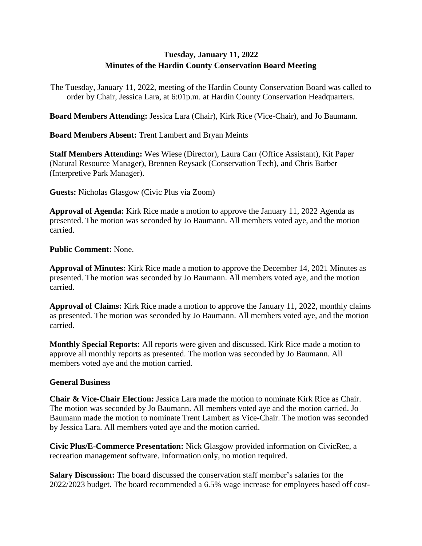## **Tuesday, January 11, 2022 Minutes of the Hardin County Conservation Board Meeting**

The Tuesday, January 11, 2022, meeting of the Hardin County Conservation Board was called to order by Chair, Jessica Lara, at 6:01p.m. at Hardin County Conservation Headquarters.

**Board Members Attending:** Jessica Lara (Chair), Kirk Rice (Vice-Chair), and Jo Baumann.

**Board Members Absent:** Trent Lambert and Bryan Meints

**Staff Members Attending:** Wes Wiese (Director), Laura Carr (Office Assistant), Kit Paper (Natural Resource Manager), Brennen Reysack (Conservation Tech), and Chris Barber (Interpretive Park Manager).

**Guests:** Nicholas Glasgow (Civic Plus via Zoom)

**Approval of Agenda:** Kirk Rice made a motion to approve the January 11, 2022 Agenda as presented. The motion was seconded by Jo Baumann. All members voted aye, and the motion carried.

**Public Comment:** None.

**Approval of Minutes:** Kirk Rice made a motion to approve the December 14, 2021 Minutes as presented. The motion was seconded by Jo Baumann. All members voted aye, and the motion carried.

**Approval of Claims:** Kirk Rice made a motion to approve the January 11, 2022, monthly claims as presented. The motion was seconded by Jo Baumann. All members voted aye, and the motion carried.

**Monthly Special Reports:** All reports were given and discussed. Kirk Rice made a motion to approve all monthly reports as presented. The motion was seconded by Jo Baumann. All members voted aye and the motion carried.

## **General Business**

**Chair & Vice-Chair Election:** Jessica Lara made the motion to nominate Kirk Rice as Chair. The motion was seconded by Jo Baumann. All members voted aye and the motion carried. Jo Baumann made the motion to nominate Trent Lambert as Vice-Chair. The motion was seconded by Jessica Lara. All members voted aye and the motion carried.

**Civic Plus/E-Commerce Presentation:** Nick Glasgow provided information on CivicRec, a recreation management software. Information only, no motion required.

**Salary Discussion:** The board discussed the conservation staff member's salaries for the 2022/2023 budget. The board recommended a 6.5% wage increase for employees based off cost